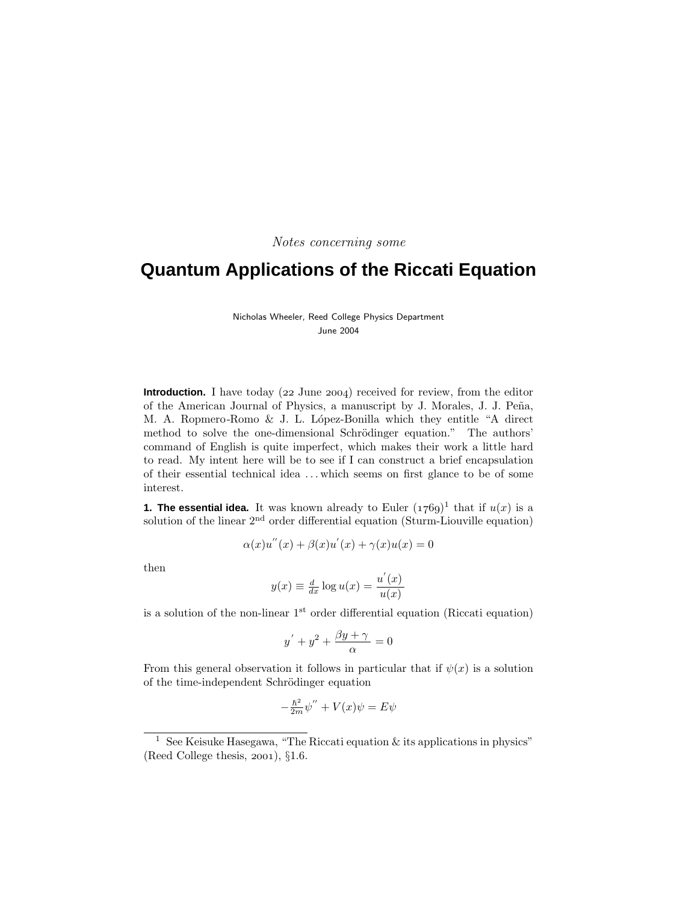Notes concerning some

# **Quantum Applications of the Riccati Equation**

Nicholas Wheeler, Reed College Physics Department June 2004

**Introduction.** I have today  $(22 \text{ June } 2004)$  received for review, from the editor of the American Journal of Physics, a manuscript by J. Morales, J. J. Peña, M. A. Ropmero-Romo & J. L. López-Bonilla which they entitle "A direct method to solve the one-dimensional Schrödinger equation." The authors' command of English is quite imperfect, which makes their work a little hard to read. My intent here will be to see if I can construct a brief encapsulation of their essential technical idea ... which seems on first glance to be of some interest.

**1. The essential idea.** It was known already to Euler  $(1769)^1$  that if  $u(x)$  is a solution of the linear  $2<sup>nd</sup>$  order differential equation (Sturm-Liouville equation)

$$
\alpha(x)u''(x) + \beta(x)u'(x) + \gamma(x)u(x) = 0
$$

then

$$
y(x) \equiv \frac{d}{dx} \log u(x) = \frac{u'(x)}{u(x)}
$$

is a solution of the non-linear  $1<sup>st</sup>$  order differential equation (Riccati equation)

$$
y' + y^2 + \frac{\beta y + \gamma}{\alpha} = 0
$$

From this general observation it follows in particular that if  $\psi(x)$  is a solution of the time-independent Schrödinger equation

$$
-\frac{\hbar^2}{2m}\psi'' + V(x)\psi = E\psi
$$

<sup>&</sup>lt;sup>1</sup> See Keisuke Hasegawa, "The Riccati equation  $\&$  its applications in physics" (Reed College thesis,  $2001$ ),  $§1.6$ .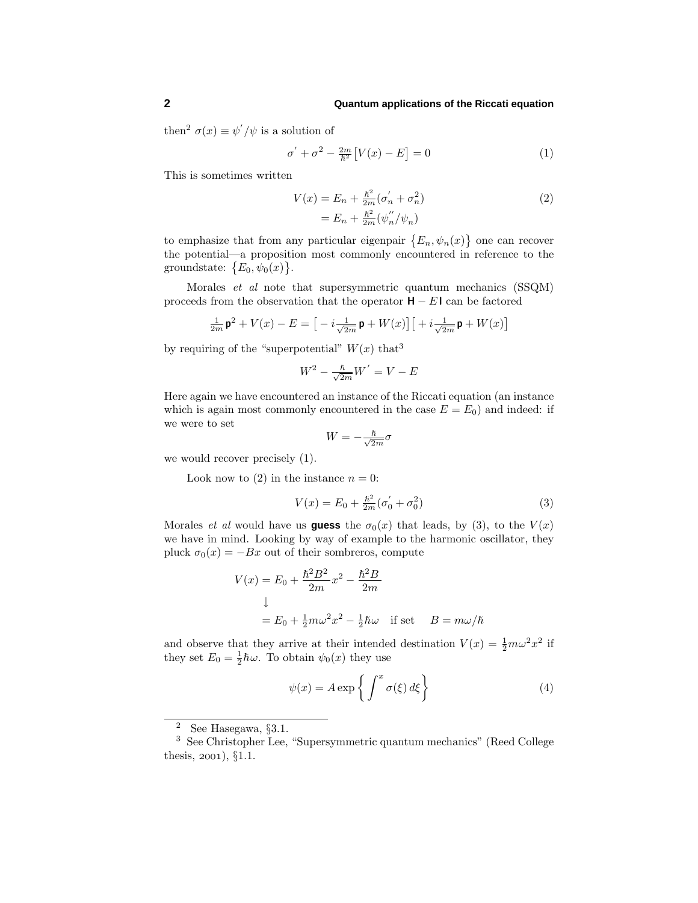# **2 Quantum applications of the Riccati equation**

then<sup>2</sup>  $\sigma(x) \equiv \psi'/\psi$  is a solution of

$$
\sigma' + \sigma^2 - \frac{2m}{\hbar^2} \left[ V(x) - E \right] = 0 \tag{1}
$$

This is sometimes written

$$
V(x) = E_n + \frac{\hbar^2}{2m} (\sigma'_n + \sigma_n^2)
$$
  
=  $E_n + \frac{\hbar^2}{2m} (\psi''_n / \psi_n)$  (2)

to emphasize that from any particular eigenpair  $\{E_n, \psi_n(x)\}$  one can recover the potential—a proposition most commonly encountered in reference to the groundstate:  ${E_0, \psi_0(x)}.$ 

Morales et al note that supersymmetric quantum mechanics (SSQM) proceeds from the observation that the operator  $H - E I$  can be factored

$$
\tfrac{1}{2m}\,\mathbf{p}^2+V(x)-E=\big[-i\tfrac{1}{\sqrt{2m}}\,\mathbf{p}+W(x)\big]\big[ +i\tfrac{1}{\sqrt{2m}}\,\mathbf{p}+W(x)\big]
$$

by requiring of the "superpotential"  $W(x)$  that<sup>3</sup>

$$
W^2 - \frac{\hbar}{\sqrt{2m}}W' = V - E
$$

Here again we have encountered an instance of the Riccati equation (an instance which is again most commonly encountered in the case  $E = E_0$ ) and indeed: if we were to set

$$
W = -\frac{\hbar}{\sqrt{2m}}\sigma
$$

we would recover precisely (1).

Look now to (2) in the instance  $n = 0$ :

$$
V(x) = E_0 + \frac{\hbar^2}{2m} (\sigma'_0 + \sigma_0^2)
$$
 (3)

Morales *et al* would have us **guess** the  $\sigma_0(x)$  that leads, by (3), to the  $V(x)$ we have in mind. Looking by way of example to the harmonic oscillator, they pluck  $\sigma_0(x) = -Bx$  out of their sombreros, compute

$$
V(x) = E_0 + \frac{\hbar^2 B^2}{2m} x^2 - \frac{\hbar^2 B}{2m}
$$
  

$$
\downarrow
$$
  

$$
= E_0 + \frac{1}{2} m \omega^2 x^2 - \frac{1}{2} \hbar \omega \quad \text{if set} \quad B = m \omega/\hbar
$$

and observe that they arrive at their intended destination  $V(x) = \frac{1}{2}m\omega^2 x^2$  if they set  $E_0 = \frac{1}{2}\hbar\omega$ . To obtain  $\psi_0(x)$  they use

$$
\psi(x) = A \exp\left\{ \int^x \sigma(\xi) d\xi \right\} \tag{4}
$$

<sup>2</sup> See Hasegawa, §3.1.

<sup>3</sup> See Christopher Lee, "Supersymmetric quantum mechanics" (Reed College thesis,  $2001$ ,  $§1.1$ .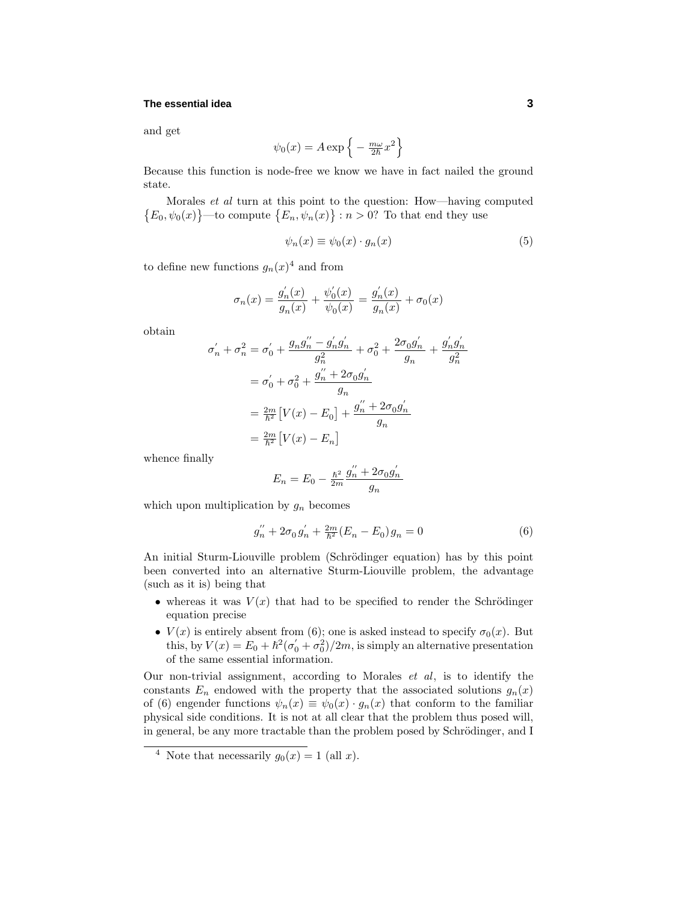## **The essential idea 3**

and get

$$
\psi_0(x) = A \exp\left\{-\frac{m\omega}{2\hbar}x^2\right\}
$$

Because this function is node-free we know we have in fact nailed the ground state.

Morales et al turn at this point to the question: How—having computed  $\{E_0, \psi_0(x)\}$ —to compute  $\{E_n, \psi_n(x)\}$ :  $n > 0$ ? To that end they use

$$
\psi_n(x) \equiv \psi_0(x) \cdot g_n(x) \tag{5}
$$

to define new functions  $g_n(x)^4$  and from

$$
\sigma_n(x) = \frac{g'_n(x)}{g_n(x)} + \frac{\psi'_0(x)}{\psi_0(x)} = \frac{g'_n(x)}{g_n(x)} + \sigma_0(x)
$$

obtain

$$
\sigma'_{n} + \sigma_{n}^{2} = \sigma'_{0} + \frac{g_{n}g''_{n} - g'_{n}g'_{n}}{g_{n}^{2}} + \sigma_{0}^{2} + \frac{2\sigma_{0}g'_{n}}{g_{n}} + \frac{g'_{n}g'_{n}}{g_{n}^{2}}
$$

$$
= \sigma'_{0} + \sigma_{0}^{2} + \frac{g''_{n} + 2\sigma_{0}g'_{n}}{g_{n}}
$$

$$
= \frac{2m}{\hbar^{2}}[V(x) - E_{0}] + \frac{g''_{n} + 2\sigma_{0}g'_{n}}{g_{n}}
$$

$$
= \frac{2m}{\hbar^{2}}[V(x) - E_{n}]
$$

whence finally

$$
E_n = E_0 - \frac{\hbar^2}{2m} \frac{g_n'' + 2\sigma_0 g_n'}{g_n}
$$

which upon multiplication by  $g_n$  becomes

$$
g_n'' + 2\sigma_0 g_n' + \frac{2m}{\hbar^2} (E_n - E_0) g_n = 0
$$
\n(6)

An initial Sturm-Liouville problem (Schrödinger equation) has by this point been converted into an alternative Sturm-Liouville problem, the advantage (such as it is) being that

- whereas it was  $V(x)$  that had to be specified to render the Schrödinger equation precise
- $V(x)$  is entirely absent from (6); one is asked instead to specify  $\sigma_0(x)$ . But this, by  $V(x) = E_0 + \hbar^2 (\sigma_0' + \sigma_0^2)/2m$ , is simply an alternative presentation of the same essential information.

Our non-trivial assignment, according to Morales et al, is to identify the constants  $E_n$  endowed with the property that the associated solutions  $g_n(x)$ of (6) engender functions  $\psi_n(x) \equiv \psi_0(x) \cdot g_n(x)$  that conform to the familiar physical side conditions. It is not at all clear that the problem thus posed will, in general, be any more tractable than the problem posed by Schrödinger, and I

<sup>&</sup>lt;sup>4</sup> Note that necessarily  $g_0(x) = 1$  (all x).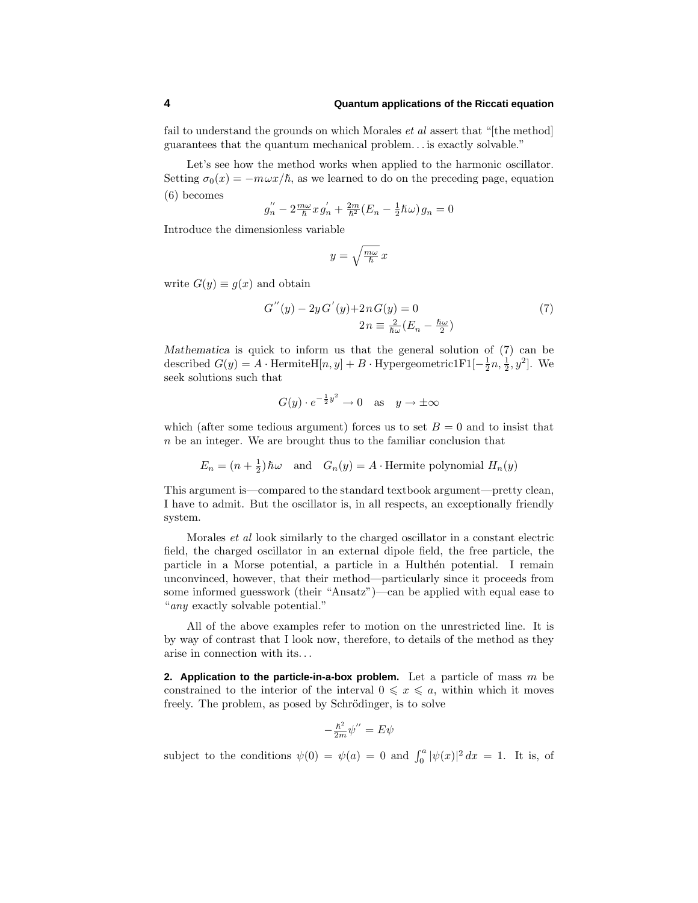#### **4 Quantum applications of the Riccati equation**

fail to understand the grounds on which Morales *et al* assert that "[the method] guarantees that the quantum mechanical problem... is exactly solvable."

Let's see how the method works when applied to the harmonic oscillator. Setting  $\sigma_0(x) = -m\omega x/\hbar$ , as we learned to do on the preceding page, equation (6) becomes

$$
g_n^{''}-2\tfrac{m\omega}{\hbar}x\,g_n^{'}+\tfrac{2m}{\hbar^2}(E_n-\tfrac{1}{2}\hbar\omega)\,g_n=0
$$

Introduce the dimensionless variable

$$
y = \sqrt{\frac{m\omega}{\hbar}} x
$$

write  $G(y) \equiv g(x)$  and obtain

$$
G''(y) - 2yG'(y) + 2nG(y) = 0
$$
  
2n =  $\frac{2}{\hbar\omega}(E_n - \frac{\hbar\omega}{2})$  (7)

*Mathematica* is quick to inform us that the general solution of (7) can be described  $G(y) = A \cdot \text{HermiteH}[n, y] + B \cdot \text{Hypergeometric1F1}[-\frac{1}{2}n, \frac{1}{2}, y^2]$ . We seek solutions such that

$$
G(y) \cdot e^{-\frac{1}{2}y^2} \to 0
$$
 as  $y \to \pm \infty$ 

which (after some tedious argument) forces us to set  $B = 0$  and to insist that n be an integer. We are brought thus to the familiar conclusion that

$$
E_n = (n + \frac{1}{2})\hbar\omega
$$
 and  $G_n(y) = A$ . Hermite polynomial  $H_n(y)$ 

This argument is—compared to the standard textbook argument—pretty clean, I have to admit. But the oscillator is, in all respects, an exceptionally friendly system.

Morales et al look similarly to the charged oscillator in a constant electric field, the charged oscillator in an external dipole field, the free particle, the particle in a Morse potential, a particle in a Hulthen potential. I remain unconvinced, however, that their method—particularly since it proceeds from some informed guesswork (their "Ansatz")—can be applied with equal ease to "any exactly solvable potential."

All of the above examples refer to motion on the unrestricted line. It is by way of contrast that I look now, therefore, to details of the method as they arise in connection with its...

**2. Application to the particle-in-a-box problem.** Let a particle of mass m be constrained to the interior of the interval  $0 \leq x \leq a$ , within which it moves freely. The problem, as posed by Schrödinger, is to solve

$$
-\frac{\hbar^2}{2m}\psi'' = E\psi
$$

subject to the conditions  $\psi(0) = \psi(a) = 0$  and  $\int_0^a |\psi(x)|^2 dx = 1$ . It is, of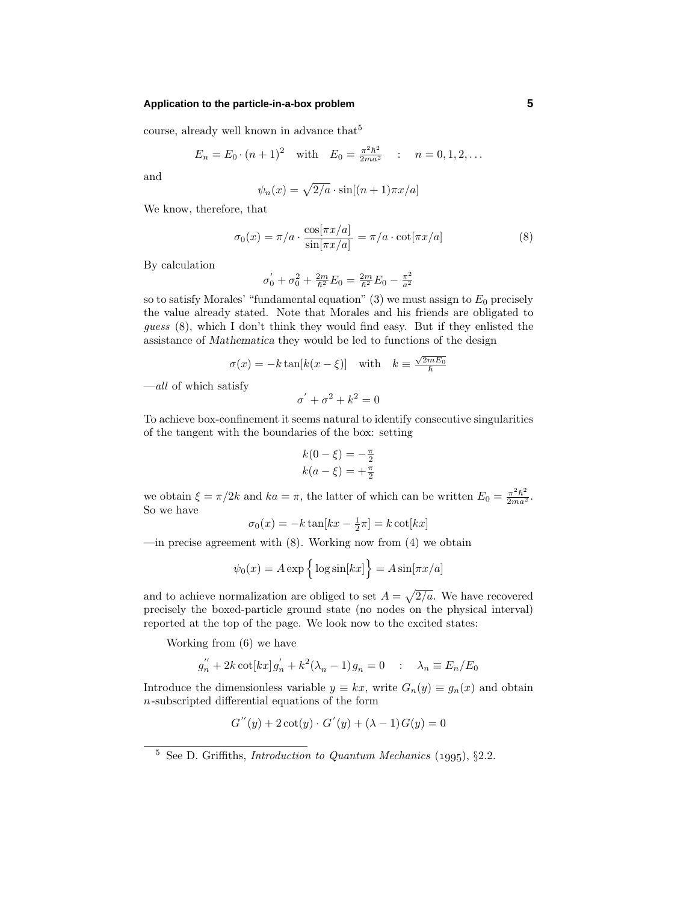### **Application to the particle-in-a-box problem 5**

course, already well known in advance that<sup>5</sup>

$$
E_n = E_0 \cdot (n+1)^2
$$
 with  $E_0 = \frac{\pi^2 \hbar^2}{2ma^2}$  :  $n = 0, 1, 2, ...$ 

and

$$
\psi_n(x) = \sqrt{2/a} \cdot \sin[(n+1)\pi x/a]
$$

We know, therefore, that

$$
\sigma_0(x) = \pi/a \cdot \frac{\cos[\pi x/a]}{\sin[\pi x/a]} = \pi/a \cdot \cot[\pi x/a]
$$
 (8)

By calculation

$$
\sigma_0' + \sigma_0^2 + \frac{2m}{\hbar^2} E_0 = \frac{2m}{\hbar^2} E_0 - \frac{\pi^2}{a^2}
$$

so to satisfy Morales' "fundamental equation" (3) we must assign to  $E_0$  precisely the value already stated. Note that Morales and his friends are obligated to guess (8), which I don't think they would find easy. But if they enlisted the assistance of *Mathematica* they would be led to functions of the design

$$
\sigma(x) = -k \tan[k(x - \xi)] \quad \text{with} \quad k \equiv \frac{\sqrt{2mE_0}}{\hbar}
$$

 $-\textit{all}$  of which satisfy

$$
\sigma^{'}+\sigma^2+k^2=0
$$

To achieve box-confinement it seems natural to identify consecutive singularities of the tangent with the boundaries of the box: setting

$$
k(0 - \xi) = -\frac{\pi}{2} k(a - \xi) = +\frac{\pi}{2}
$$

we obtain  $\xi = \pi/2k$  and  $ka = \pi$ , the latter of which can be written  $E_0 = \frac{\pi^2 \hbar^2}{2ma^2}$ . So we have

$$
\sigma_0(x) = -k \tan[kx - \frac{1}{2}\pi] = k \cot[kx]
$$

—in precise agreement with  $(8)$ . Working now from  $(4)$  we obtain

$$
\psi_0(x) = A \exp \left\{ \log \sin[kx] \right\} = A \sin[\pi x/a]
$$

and to achieve normalization are obliged to set  $A = \sqrt{2/a}$ . We have recovered precisely the boxed-particle ground state (no nodes on the physical interval) reported at the top of the page. We look now to the excited states:

Working from (6) we have

$$
g_n'' + 2k \cot[kx] g_n' + k^2 (\lambda_n - 1) g_n = 0 \quad : \quad \lambda_n \equiv E_n / E_0
$$

Introduce the dimensionless variable  $y \equiv kx$ , write  $G_n(y) \equiv g_n(x)$  and obtain  $n$ -subscripted differential equations of the form

$$
G''(y) + 2\cot(y) \cdot G'(y) + (\lambda - 1)G(y) = 0
$$

 $\frac{5}{5}$  See D. Griffiths, *Introduction to Quantum Mechanics* (1995), §2.2.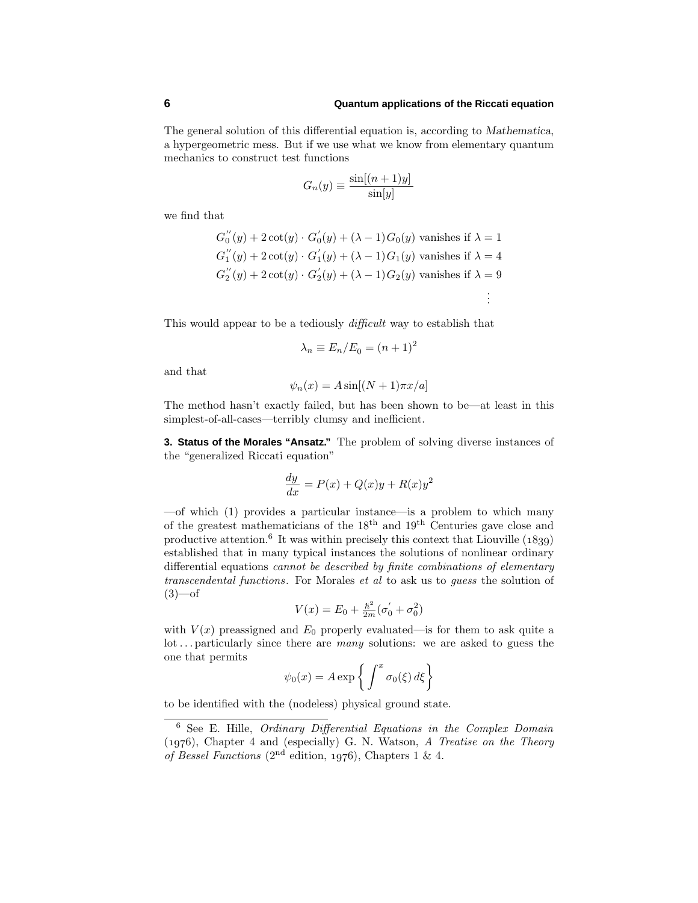The general solution of this differential equation is, according to *Mathematica*, a hypergeometric mess. But if we use what we know from elementary quantum mechanics to construct test functions

$$
G_n(y) \equiv \frac{\sin[(n+1)y]}{\sin[y]}
$$

we find that

$$
G_0''(y) + 2 \cot(y) \cdot G_0'(y) + (\lambda - 1) G_0(y)
$$
 vanishes if  $\lambda = 1$   
\n
$$
G_1''(y) + 2 \cot(y) \cdot G_1'(y) + (\lambda - 1) G_1(y)
$$
 vanishes if  $\lambda = 4$   
\n
$$
G_2''(y) + 2 \cot(y) \cdot G_2'(y) + (\lambda - 1) G_2(y)
$$
 vanishes if  $\lambda = 9$   
\n
$$
\vdots
$$

This would appear to be a tediously *difficult* way to establish that

$$
\lambda_n \equiv E_n/E_0 = (n+1)^2
$$

and that

$$
\psi_n(x) = A \sin[(N+1)\pi x/a]
$$

The method hasn't exactly failed, but has been shown to be—at least in this simplest-of-all-cases—terribly clumsy and inefficient.

**3. Status of the Morales "Ansatz."** The problem of solving diverse instances of the "generalized Riccati equation"

$$
\frac{dy}{dx} = P(x) + Q(x)y + R(x)y^2
$$

—of which (1) provides a particular instance—is a problem to which many of the greatest mathematicians of the 18th and 19th Centuries gave close and productive attention.<sup>6</sup> It was within precisely this context that Liouville  $(1839)$ established that in many typical instances the solutions of nonlinear ordinary differential equations cannot be described by finite combinations of elementary transcendental functions. For Morales et al to ask us to guess the solution of  $(3)$ —of

$$
V(x) = E_0 + \frac{\hbar^2}{2m} (\sigma'_0 + \sigma_0^2)
$$

with  $V(x)$  preassigned and  $E_0$  properly evaluated—is for them to ask quite a lot ... particularly since there are many solutions: we are asked to guess the one that permits

$$
\psi_0(x) = A \exp\left\{ \int^x \sigma_0(\xi) \, d\xi \right\}
$$

to be identified with the (nodeless) physical ground state.

 $6$  See E. Hille, *Ordinary Differential Equations in the Complex Domain*  $(1976)$ , Chapter 4 and (especially) G. N. Watson, A Treatise on the Theory of Bessel Functions (2<sup>nd</sup> edition, 1976), Chapters 1 & 4.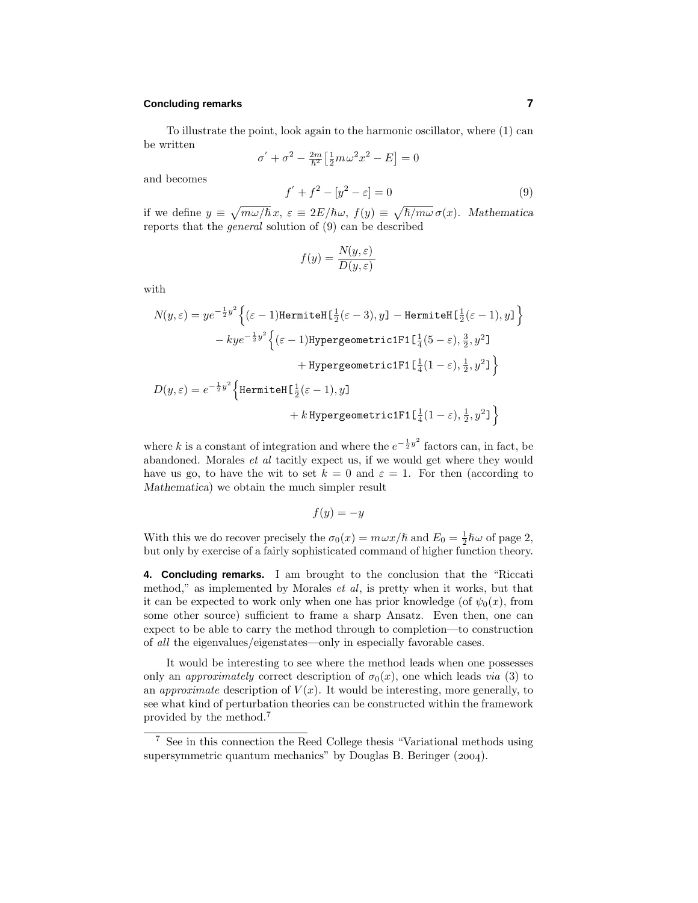## **Concluding remarks 7**

To illustrate the point, look again to the harmonic oscillator, where (1) can be written

$$
\sigma' + \sigma^2 - \frac{2m}{\hbar^2} \left[ \frac{1}{2} m \omega^2 x^2 - E \right] = 0
$$

and becomes

$$
f' + f^2 - [y^2 - \varepsilon] = 0
$$
 (9)

if we define  $y \equiv \sqrt{m\omega/\hbar} x$ ,  $\varepsilon \equiv 2E/\hbar \omega$ ,  $f(y) \equiv \sqrt{\hbar/m\omega} \sigma(x)$ . *Mathematica* reports that the general solution of (9) can be described

$$
f(y) = \frac{N(y, \varepsilon)}{D(y, \varepsilon)}
$$

with

$$
N(y,\varepsilon) = ye^{-\frac{1}{2}y^2} \left\{ (\varepsilon - 1) \text{HermiteH} \left[ \frac{1}{2} (\varepsilon - 3), y \right] - \text{HermiteH} \left[ \frac{1}{2} (\varepsilon - 1), y \right] \right\}
$$

$$
- ky e^{-\frac{1}{2}y^2} \left\{ (\varepsilon - 1) \text{HypergoometricIF1} \left[ \frac{1}{4} (5 - \varepsilon), \frac{3}{2}, y^2 \right] + \text{HypergoometricIF1} \left[ \frac{1}{4} (1 - \varepsilon), \frac{1}{2}, y^2 \right] \right\}
$$

$$
D(y,\varepsilon) = e^{-\frac{1}{2}y^2} \left\{ \text{HermiteH} \left[ \frac{1}{2} (\varepsilon - 1), y \right] + k \text{HypergoometricIF1} \left[ \frac{1}{4} (1 - \varepsilon), \frac{1}{2}, y^2 \right] \right\}
$$

where k is a constant of integration and where the  $e^{-\frac{1}{2}y^2}$  factors can, in fact, be abandoned. Morales et al tacitly expect us, if we would get where they would have us go, to have the wit to set  $k = 0$  and  $\varepsilon = 1$ . For then (according to *Mathematica*) we obtain the much simpler result

$$
f(y) = -y
$$

With this we do recover precisely the  $\sigma_0(x) = m\omega x/\hbar$  and  $E_0 = \frac{1}{2}\hbar\omega$  of page 2, but only by exercise of a fairly sophisticated command of higher function theory.

**4. Concluding remarks.** I am brought to the conclusion that the "Riccati method," as implemented by Morales *et al*, is pretty when it works, but that it can be expected to work only when one has prior knowledge (of  $\psi_0(x)$ , from some other source) sufficient to frame a sharp Ansatz. Even then, one can expect to be able to carry the method through to completion—to construction of all the eigenvalues/eigenstates—only in especially favorable cases.

It would be interesting to see where the method leads when one possesses only an *approximately* correct description of  $\sigma_0(x)$ , one which leads *via* (3) to an *approximate* description of  $V(x)$ . It would be interesting, more generally, to see what kind of perturbation theories can be constructed within the framework provided by the method.<sup>7</sup>

<sup>7</sup> See in this connection the Reed College thesis "Variational methods using supersymmetric quantum mechanics" by Douglas B. Beringer  $(2004)$ .